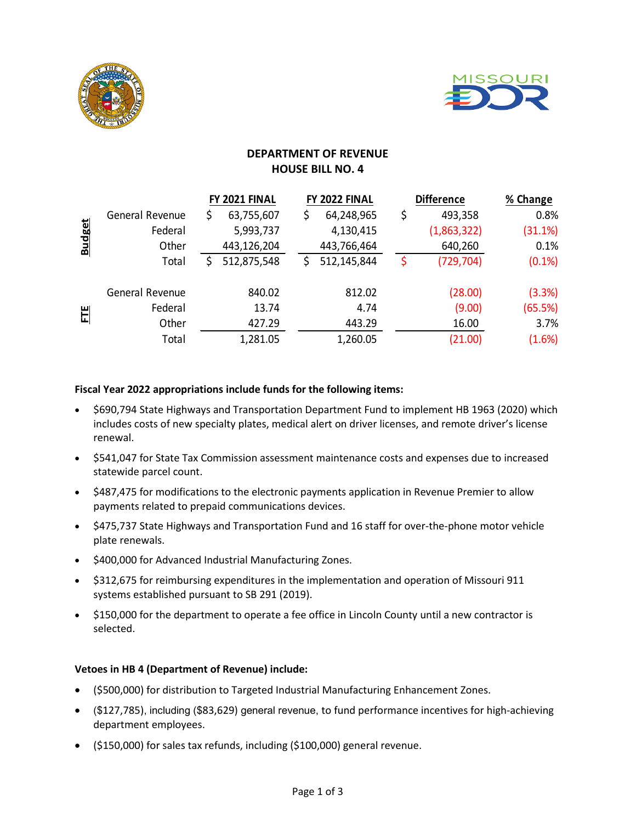



# **DEPARTMENT OF REVENUE HOUSE BILL NO. 4**

|               |                 | FY 2021 FINAL |             | FY 2022 FINAL    |    | <b>Difference</b> | % Change  |
|---------------|-----------------|---------------|-------------|------------------|----|-------------------|-----------|
| <b>Budget</b> | General Revenue | \$            | 63,755,607  | \$<br>64,248,965 | \$ | 493,358           | 0.8%      |
|               | Federal         |               | 5,993,737   | 4,130,415        |    | (1,863,322)       | (31.1%)   |
|               | Other           |               | 443,126,204 | 443,766,464      |    | 640,260           | 0.1%      |
|               | Total           |               | 512,875,548 | 512,145,844      | \$ | (729, 704)        | $(0.1\%)$ |
| E             | General Revenue |               | 840.02      | 812.02           |    | (28.00)           | (3.3%)    |
|               | Federal         |               | 13.74       | 4.74             |    | (9.00)            | (65.5%)   |
|               | Other           |               | 427.29      | 443.29           |    | 16.00             | 3.7%      |
|               | Total           |               | 1,281.05    | 1,260.05         |    | (21.00)           | (1.6%)    |

### **Fiscal Year 2022 appropriations include funds for the following items:**

- \$690,794 State Highways and Transportation Department Fund to implement HB 1963 (2020) which includes costs of new specialty plates, medical alert on driver licenses, and remote driver's license renewal.
- \$541,047 for State Tax Commission assessment maintenance costs and expenses due to increased statewide parcel count.
- \$487,475 for modifications to the electronic payments application in Revenue Premier to allow payments related to prepaid communications devices.
- \$475,737 State Highways and Transportation Fund and 16 staff for over-the-phone motor vehicle plate renewals.
- \$400,000 for Advanced Industrial Manufacturing Zones.
- \$312,675 for reimbursing expenditures in the implementation and operation of Missouri 911 systems established pursuant to SB 291 (2019).
- \$150,000 for the department to operate a fee office in Lincoln County until a new contractor is selected.

## **Vetoes in HB 4 (Department of Revenue) include:**

- (\$500,000) for distribution to Targeted Industrial Manufacturing Enhancement Zones.
- (\$127,785), including (\$83,629) general revenue, to fund performance incentives for high-achieving department employees.
- (\$150,000) for sales tax refunds, including (\$100,000) general revenue.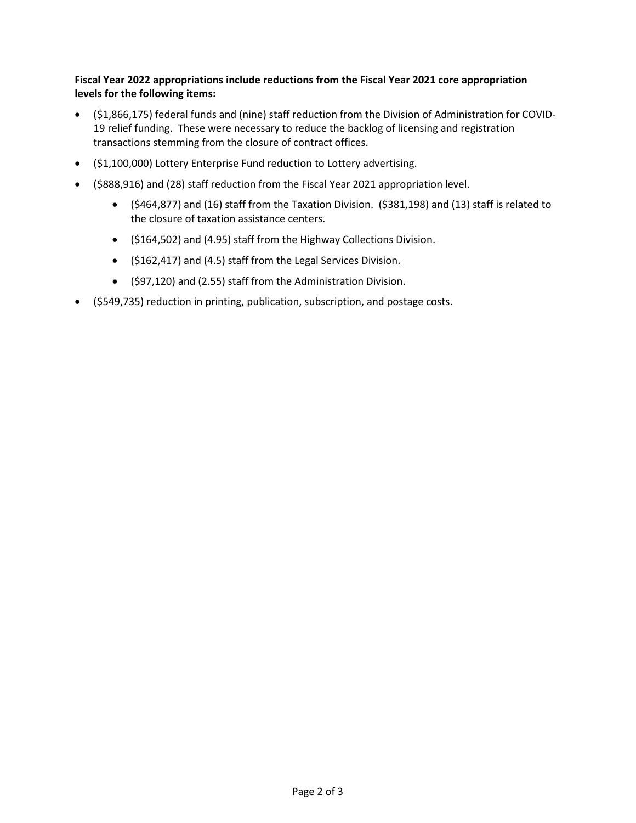## **Fiscal Year 2022 appropriations include reductions from the Fiscal Year 2021 core appropriation levels for the following items:**

- (\$1,866,175) federal funds and (nine) staff reduction from the Division of Administration for COVID-19 relief funding. These were necessary to reduce the backlog of licensing and registration transactions stemming from the closure of contract offices.
- (\$1,100,000) Lottery Enterprise Fund reduction to Lottery advertising.
- (\$888,916) and (28) staff reduction from the Fiscal Year 2021 appropriation level.
	- (\$464,877) and (16) staff from the Taxation Division. (\$381,198) and (13) staff is related to the closure of taxation assistance centers.
	- (\$164,502) and (4.95) staff from the Highway Collections Division.
	- (\$162,417) and (4.5) staff from the Legal Services Division.
	- (\$97,120) and (2.55) staff from the Administration Division.
- (\$549,735) reduction in printing, publication, subscription, and postage costs.